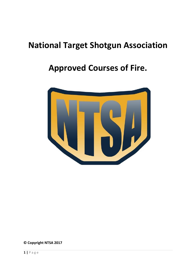# **Approved Courses of Fire.**



**© Copyright NTSA 2017**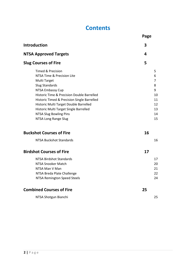## **Contents**

|                                                                         | Page     |
|-------------------------------------------------------------------------|----------|
| Introduction                                                            | 3        |
| <b>NTSA Approved Targets</b>                                            | 4        |
| <b>Slug Courses of Fire</b>                                             | 5        |
| Timed & Precision                                                       | 5        |
| NTSA Time & Precision Lite                                              | 6        |
| Multi Target                                                            | 7        |
| <b>Slug Standards</b>                                                   | 8        |
| NTSA Embassy Cup                                                        | 9        |
| Historic Time & Precision Double Barrelled                              | 10       |
| Historic Timed & Precision Single Barrelled                             | 11       |
| Historic Multi Target Double Barrelled                                  | 12       |
| Historic Multi Target Single Barrelled<br><b>NTSA Slug Bowling Pins</b> | 13<br>14 |
| NTSA Long Range Slug                                                    | 15       |
|                                                                         |          |
| <b>Buckshot Courses of Fire</b>                                         | 16       |
| <b>NTSA Buckshot Standards</b>                                          | 16       |
| <b>Birdshot Courses of Fire</b>                                         | 17       |
| NTSA Birdshot Standards                                                 | 17       |
| NTSA Snooker Match                                                      | 20       |
| NTSA Man V Man                                                          | 21       |
| NTSA Breda Plate Challenge                                              | 22       |
| NTSA Remington Speed Steels                                             | 24       |
| <b>Combined Courses of Fire</b>                                         | 25       |
| NTSA Shotgun Bianchi                                                    | 25       |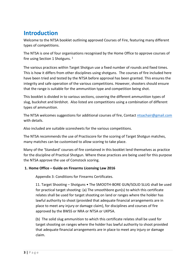## **Introduction**

Welcome to the NTSA booklet outlining approved Courses of Fire, featuring many different types of competitions.

The NTSA is one of four organisations recognised by the Home Office to approve courses of fire using Section 1 Shotguns.  $1$ 

The various practices within Target Shotgun use a fixed number of rounds and fixed times. This is how it differs from other disciplines using shotguns. The courses of fire included here have been tried and tested by the NTSA before approval has been granted. This ensures the integrity and safe operation of the various competitions. However, shooters should ensure that the range is suitable for the ammunition type and competition being shot.

This booklet is divided in to various sections, covering the different ammunition types of slug, buckshot and birdshot. Also listed are competitions using a combination of different types of ammunition.

The NTSA welcomes suggestions for additional courses of fire, Contact ntsachair@gmail.com with details.

Also included are suitable scoresheets for the various competitions.

The NTSA recommends the use of Practiscore for the scoring of Target Shotgun matches, many matches can be customised to allow scoring to take place.

Many of the 'Standard' courses of fire contained in this booklet lend themselves as practice for the discipline of Practical Shotgun. Where these practices are being used for this purpose the NTSA approve the use of Comstock scoring.

#### **1. Home Office – Guide on Firearms Licensing Law 2016**

Appendix 3: Conditions for Firearms Certificates.

11. Target Shooting – Shotguns • The SMOOTH-BORE GUN/SOLID SLUG shall be used for practical target shooting: (a) The smoothbore gun(s) to which this certificate relates shall be used for target shooting on land or ranges where the holder has lawful authority to shoot (provided that adequate financial arrangements are in place to meet any injury or damage claim), for disciplines and courses of fire approved by the BWSS or NRA or NTSA or UKPSA.

(b) The solid slug ammunition to which this certificate relates shall be used for target shooting on ranges where the holder has lawful authority to shoot provided that adequate financial arrangements are in place to meet any injury or damage claim.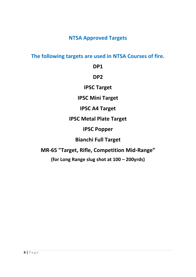**NTSA Approved Targets** 

**The following targets are used in NTSA Courses of fire.** 

**DP1** 

**DP2** 

**IPSC Target** 

**IPSC Mini Target** 

**IPSC A4 Target** 

**IPSC Metal Plate Target** 

**IPSC Popper** 

**Bianchi Full Target** 

**MR-65 "Target, Rifle, Competition Mid-Range"** 

**(for Long Range slug shot at 100 – 200yrds)**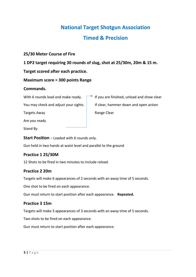### **Timed & Precision**

#### **25/30 Meter Course of Fire**

#### **1 DP2 target requiring 30 rounds of slug, shot at 25/30m, 20m & 15 m.**

#### **Target scored after each practice.**

#### **Maximum score = 300 points Range**

#### **Commands.**

With 6 rounds load and make ready.  $\Box$  If you are finished, unload and show clear

Targets Away **Range Clear** Range Clear

Are you ready

Stand By

**Start Position** – Loaded with 6 rounds only.

Gun held in two hands at waist level and parallel to the ground

#### **Practice 1 25/30M**

12 Shots to be fired in two minutes to include reload.

#### **Practice 2 20m**

Targets will make 6 appearances of 2 seconds with an away time of 5 seconds.

One shot to be fired on each appearance.

Gun must return to start position after each appearance. **Repeated.**

#### **Practice 3 15m**

Targets will make 3 appearances of 3 seconds with an away time of 5 seconds.

Two shots to be fired on each appearance.

Gun must return to start position after each appearance.

You may check and adjust your sights. If clear, hammer down and open action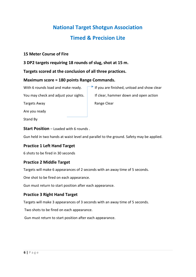# **National Target Shotgun Association Timed & Precision Lite**

#### **15 Meter Course of Fire**

**3 DP2 targets requiring 18 rounds of slug, shot at 15 m.** 

#### **Targets scored at the conclusion of all three practices.**

#### **Maximum score = 180 points Range Commands.**

Targets Away **Range Clear** 

Are you ready

Stand By

**Start Position** – Loaded with 6 rounds .

Gun held in two hands at waist level and parallel to the ground. Safety may be applied.

#### **Practice 1 Left Hand Target**

6 shots to be fired in 30 seconds

#### **Practice 2 Middle Target**

Targets will make 6 appearances of 2 seconds with an away time of 5 seconds.

One shot to be fired on each appearance.

Gun must return to start position after each appearance.

#### **Practice 3 Right Hand Target**

Targets will make 3 appearances of 3 seconds with an away time of 5 seconds.

Two shots to be fired on each appearance.

Gun must return to start position after each appearance.

With 6 rounds load and make ready.  $\Box$  If you are finished, unload and show clear You may check and adjust your sights. If clear, hammer down and open action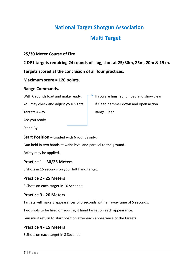# **National Target Shotgun Association Multi Target**

#### **25/30 Meter Course of Fire**

**2 DP1 targets requiring 24 rounds of slug, shot at 25/30m, 25m, 20m & 15 m.** 

**Targets scored at the conclusion of all four practices.** 

#### **Maximum score = 120 points.**

#### **Range Commands.**

With 6 rounds load and make ready.  $\Box$  If you are finished, unload and show clear

Targets Away **Range Clear** 

Are you ready

Stand By

**Start Position** – Loaded with 6 rounds only.

Gun held in two hands at waist level and parallel to the ground.

Safety may be applied.

#### **Practice 1 – 30/25 Meters**

6 Shots in 15 seconds on your left hand target.

#### **Practice 2 - 25 Meters**

3 Shots on each target in 10 Seconds

#### **Practice 3 - 20 Meters**

Targets will make 3 appearances of 3 seconds with an away time of 5 seconds.

Two shots to be fired on your right hand target on each appearance.

Gun must return to start position after each appearance of the targets.

#### **Practice 4 - 15 Meters**

3 Shots on each target in 8 Seconds

You may check and adjust your sights. If clear, hammer down and open action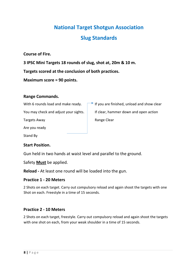# **National Target Shotgun Association Slug Standards**

**Course of Fire.** 

**3 IPSC Mini Targets 18 rounds of slug, shot at, 20m & 10 m.** 

**Targets scored at the conclusion of both practices.** 

**Maximum score = 90 points.** 

#### **Range Commands.**

Targets Away **Range Clear** 

Are you ready

Stand By

#### **Start Position.**

Gun held in two hands at waist level and parallel to the ground.

Safety **Must** be applied.

**Reload -** At least one round will be loaded into the gun.

#### **Practice 1 - 20 Meters**

2 Shots on each target. Carry out compulsory reload and again shoot the targets with one Shot on each. Freestyle in a time of 15 seconds.

#### **Practice 2 - 10 Meters**

2 Shots on each target, freestyle. Carry out compulsory reload and again shoot the targets with one shot on each, from your weak shoulder in a time of 15 seconds.

With 6 rounds load and make ready.  $\Box$  If you are finished, unload and show clear You may check and adjust your sights.  $\parallel$  If clear, hammer down and open action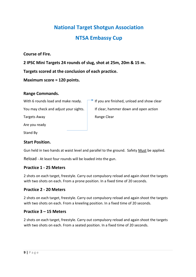# **National Target Shotgun Association NTSA Embassy Cup**

#### **Course of Fire.**

**2 IPSC Mini Targets 24 rounds of slug, shot at 25m, 20m & 15 m.** 

#### **Targets scored at the conclusion of each practice.**

#### **Maximum score = 120 points.**

#### **Range Commands.**

With 6 rounds load and make ready.  $\Box$  If you are finished, unload and show clear

You may check and adjust your sights. If clear, hammer down and open action

Targets Away **Range Clear** 

Are you ready

Stand By

#### **Start Position.**

Gun held in two hands at waist level and parallel to the ground. Safety Must be applied.

Reload - At least four rounds will be loaded into the gun.

#### **Practice 1 - 25 Meters**

2 shots on each target, freestyle. Carry out compulsory reload and again shoot the targets with two shots on each. From a prone position. In a fixed time of 20 seconds.

#### **Practice 2 - 20 Meters**

2 shots on each target, freestyle. Carry out compulsory reload and again shoot the targets with two shots on each. From a kneeling position. In a fixed time of 20 seconds.

#### **Practice 3 – 15 Meters**

2 shots on each target, freestyle. Carry out compulsory reload and again shoot the targets with two shots on each. From a seated position. In a fixed time of 20 seconds.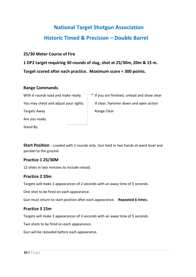# **National Target Shotgun Association Historic Timed & Precision – Double Barrel**

#### **25/30 Meter Course of Fire**

**1 DP2 target requiring 30 rounds of slug, shot at 25/30m, 20m & 15 m. Target scored after each practice. Maximum score = 300 points.** 

#### **Range Commands.**

With 6 rounds load and make ready.  $\Box$  If you are finished, unload and show clear You may check and adjust your sights. If clear, hammer down and open action Targets Away **Range Clear** Are you ready

Stand By

**Start Position** – Loaded with 2 rounds only. Gun held in two hands at waist level and parallel to the ground

#### **Practice 1 25/30M**

12 shots in two minutes to include reload.

#### **Practice 2 20m**

Targets will make 2 appearances of 2 seconds with an away time of 5 seconds.

One shot to be fired on each appearance.

Gun must return to start position after each appearance. **Repeated 6 times.**

#### **Practice 3 15m**

Targets will make 3 appearances of 3 seconds with an away time of 5 seconds.

Two shots to be fired on each appearance.

Gun will be reloaded before each appearance.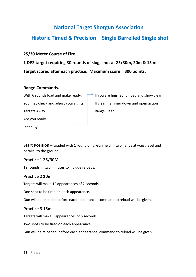### **Historic Timed & Precision – Single Barrelled Single shot**

#### **25/30 Meter Course of Fire**

**1 DP2 target requiring 30 rounds of slug, shot at 25/30m, 20m & 15 m. Target scored after each practice. Maximum score = 300 points.** 

#### **Range Commands.**

With 6 rounds load and make ready.  $\Box$  If you are finished, unload and show clear You may check and adjust your sights. If clear, hammer down and open action Targets Away **Range Clear** Range Clear Are you ready

**Start Position** – Loaded with 1 round only. Gun held in two hands at waist level and parallel to the ground

#### **Practice 1 25/30M**

12 rounds in two minutes to include reloads.

#### **Practice 2 20m**

Stand By

Targets will make 12 appearances of 2 seconds.

One shot to be fired on each appearance.

Gun will be reloaded before each appearance, command to reload will be given.

#### **Practice 3 15m**

Targets will make 3 appearances of 5 seconds.

Two shots to be fired on each appearance.

Gun will be reloaded before each appearance, command to reload will be given.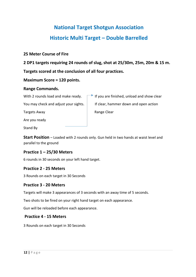# **National Target Shotgun Association Historic Multi Target – Double Barrelled**

#### **25 Meter Course of Fire**

**2 DP1 targets requiring 24 rounds of slug, shot at 25/30m, 25m, 20m & 15 m. Targets scored at the conclusion of all four practices.** 

#### **Maximum Score = 120 points.**

#### **Range Commands.**

With 2 rounds load and make ready.  $\Box$  If you are finished, unload and show clear

You may check and adjust your sights. If clear, hammer down and open action

Targets Away **Range Clear** 

Are you ready

Stand By

**Start Position** – Loaded with 2 rounds only. Gun held in two hands at waist level and parallel to the ground

#### **Practice 1 – 25/30 Meters**

6 rounds in 30 seconds on your left hand target.

#### **Practice 2 - 25 Meters**

3 Rounds on each target in 30 Seconds

#### **Practice 3 - 20 Meters**

Targets will make 3 appearances of 3 seconds with an away time of 5 seconds.

Two shots to be fired on your right hand target on each appearance.

Gun will be reloaded before each appearance.

#### **Practice 4 - 15 Meters**

3 Rounds on each target in 30 Seconds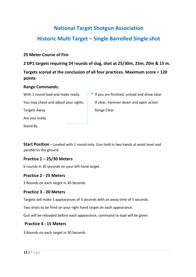# **National Target Shotgun Association Historic Multi Target – Single Barrelled Single shot**

#### **25 Meter Course of Fire**

**2 DP1 targets requiring 24 rounds of slug, shot at 25/30m, 25m, 20m & 15 m.** 

### **Targets scored at the conclusion of all four practices. Maximum score = 120 points**

#### **Range Commands.**

Targets Away **Range Clear** Range Clear

Are you ready

Stand By

With 1 round load and make ready.  $\Box$  If you are finished, unload and show clear You may check and adjust your sights. If clear, hammer down and open action

**Start Position** – Loaded with 1 round only. Gun held in two hands at waist level and parallel to the ground

#### **Practice 1 – 25/30 Meters**

6 rounds in 30 seconds on your left hand target.

#### **Practice 2 - 25 Meters**

3 Rounds on each target in 30 Seconds

#### **Practice 3 - 20 Meters**

Targets will make 3 appearances of 5 seconds with an away time of 5 seconds.

Two shots to be fired on your right hand target on each appearance.

Gun will be reloaded before each appearance, command to load will be given.

#### **Practice 4 - 15 Meters**

3 Rounds on each target in 30 Seconds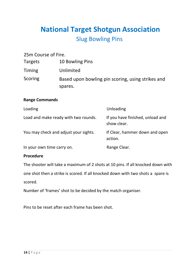# **National Target Shotgun Association** Slug Bowling Pins

| 25m Course of Fire. |                                                   |
|---------------------|---------------------------------------------------|
| Targets             | 10 Bowling Pins                                   |
| Timing              | Unlimited                                         |
| Scoring             | Based upon bowling pin scoring, using strikes and |
|                     | spares.                                           |

#### **Range Commands**

| Loading                               | Unloading                                       |
|---------------------------------------|-------------------------------------------------|
| Load and make ready with two rounds.  | If you have finished, unload and<br>show clear. |
| You may check and adjust your sights. | If Clear, hammer down and open<br>action.       |
| In your own time carry on.            | Range Clear.                                    |

#### **Procedure**

The shooter will take a maximum of 2 shots at 10 pins. If all knocked down with one shot then a strike is scored. If all knocked down with two shots a spare is scored.

Number of 'frames' shot to be decided by the match organiser.

Pins to be reset after each frame has been shot.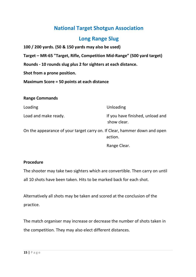### **Long Range Slug**

**100 / 200 yards. (50 & 150 yards may also be used)** 

**Target – MR-65 "Target, Rifle, Competition Mid-Range" (500 yard target)** 

**Rounds - 10 rounds slug plus 2 for sighters at each distance.** 

**Shot from a prone position.** 

**Maximum Score = 50 points at each distance** 

#### **Range Commands**

| Loading                                                                   | Unloading                                       |
|---------------------------------------------------------------------------|-------------------------------------------------|
| Load and make ready.                                                      | If you have finished, unload and<br>show clear. |
| On the appearance of your target carry on. If Clear, hammer down and open | action.                                         |

Range Clear.

#### **Procedure**

The shooter may take two sighters which are convertible. Then carry on until all 10 shots have been taken. Hits to be marked back for each shot.

Alternatively all shots may be taken and scored at the conclusion of the practice.

The match organiser may increase or decrease the number of shots taken in the competition. They may also elect different distances.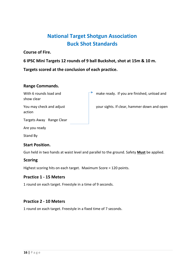## **National Target Shotgun Association Buck Shot Standards**

**Course of Fire.** 

**6 IPSC Mini Targets 12 rounds of 9 ball Buckshot, shot at 15m & 10 m.** 

**Targets scored at the conclusion of each practice.** 

#### **Range Commands.**

| With 6 rounds load and<br>show clear | make ready. If you are finished, unload and |
|--------------------------------------|---------------------------------------------|
| You may check and adjust<br>action   | your sights. If clear, hammer down and open |
| Targets Away Range Clear             |                                             |
| Are you ready                        |                                             |

Stand By

#### **Start Position.**

Gun held in two hands at waist level and parallel to the ground. Safety **Must** be applied.

#### **Scoring**

Highest scoring hits on each target. Maximum Score = 120 points.

#### **Practice 1 - 15 Meters**

1 round on each target. Freestyle in a time of 9 seconds.

#### **Practice 2 - 10 Meters**

1 round on each target. Freestyle in a fixed time of 7 seconds.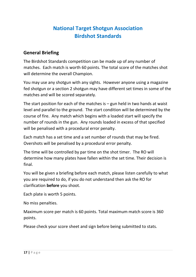## **National Target Shotgun Association Birdshot Standards**

### **General Briefing**

The Birdshot Standards competition can be made up of any number of matches. Each match is worth 60 points. The total score of the matches shot will determine the overall Champion.

You may use any shotgun with any sights. However anyone using a magazine fed shotgun or a section 2 shotgun may have different set times in some of the matches and will be scored separately.

The start position for each of the matches is  $-$  gun held in two hands at waist level and parallel to the ground. The start condition will be determined by the course of fire. Any match which begins with a loaded start will specify the number of rounds in the gun. Any rounds loaded in excess of that specified will be penalised with a procedural error penalty.

Each match has a set time and a set number of rounds that may be fired. Overshots will be penalised by a procedural error penalty.

The time will be controlled by par time on the shot timer. The RO will determine how many plates have fallen within the set time. Their decision is final.

You will be given a briefing before each match, please listen carefully to what you are required to do, if you do not understand then ask the RO for clarification **before** you shoot.

Each plate is worth 5 points.

No miss penalties.

Maximum score per match is 60 points. Total maximum match score is 360 points.

Please check your score sheet and sign before being submitted to stats.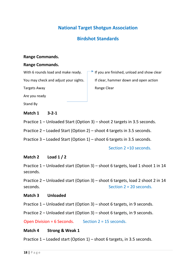### **Birdshot Standards**

#### **Range Commands.**

#### **Range Commands.**

With 6 rounds load and make ready.  $\Box$  If you are finished, unload and show clear

You may check and adjust your sights. If clear, hammer down and open action

Targets Away **Range Clear** 

Are you ready

Stand By

#### **Match 1 3-2-1**

Practice 1 – Unloaded Start (Option 3) – shoot 2 targets in 3.5 seconds.

Practice 2 – Loaded Start (Option 2) – shoot 4 targets in 3.5 seconds.

Practice 3 – Loaded Start (Option 1) – shoot 6 targets in 3.5 seconds.

Section 2 =10 seconds.

#### **Match 2 Load 1 / 2**

Practice 1 – Unloaded start (Option 3) – shoot 6 targets, load 1 shoot 1 in 14 seconds.

Practice 2 – Unloaded start (Option 3) – shoot 6 targets, load 2 shoot 2 in 14 seconds. Section 2 = 20 seconds

#### **Match 3 Unloaded**

Practice 1 – Unloaded start (Option 3) – shoot 6 targets, in 9 seconds.

Practice 2 – Unloaded start (Option 3) – shoot 6 targets, in 9 seconds.

Open Division = 6 Seconds. Section 2 = 15 seconds.

#### **Match 4 Strong & Weak 1**

Practice 1 – Loaded start (Option 1) – shoot 6 targets, in 3.5 seconds.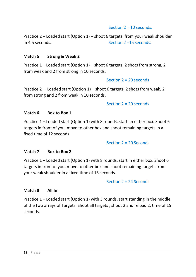#### Section 2 = 10 seconds.

Practice 2 – Loaded start (Option 1) – shoot 6 targets, from your weak shoulder in 4.5 seconds. Section 2 =15 seconds.

#### **Match 5 Strong & Weak 2**

Practice 1 – Loaded start (Option 1) – shoot 6 targets, 2 shots from strong, 2 from weak and 2 from strong in 10 seconds.

#### Section 2 = 20 seconds

Practice 2 – Loaded start (Option 1) – shoot 6 targets, 2 shots from weak, 2 from strong and 2 from weak in 10 seconds.

#### Section 2 = 20 seconds

#### **Match 6 Box to Box 1**

Practice 1 – Loaded start (Option 1) with 8 rounds, start in either box. Shoot 6 targets in front of you, move to other box and shoot remaining targets in a fixed time of 12 seconds.

#### Section 2 = 20 Seconds

#### **Match 7 Box to Box 2**

Practice 1 – Loaded start (Option 1) with 8 rounds, start in either box. Shoot 6 targets in front of you, move to other box and shoot remaining targets from your weak shoulder in a fixed time of 13 seconds.

#### Section 2 = 24 Seconds

#### **Match 8 All In**

Practice 1 – Loaded start (Option 1) with 3 rounds, start standing in the middle of the two arrays of Targets. Shoot all targets , shoot 2 and reload 2, time of 15 seconds.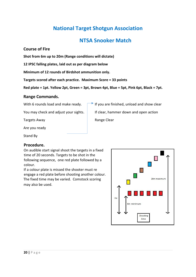### **NTSA Snooker Match**

#### **Course of Fire**

**Shot from 6m up to 20m (Range conditions will dictate)** 

**12 IPSC falling plates, laid out as per diagram below** 

**Minimum of 12 rounds of Birdshot ammunition only.** 

**Targets scored after each practice. Maximum Score = 33 points** 

**Red plate = 1pt. Yellow 2pt, Green = 3pt, Brown 4pt, Blue = 5pt, Pink 6pt, Black = 7pt.** 

#### **Range Commands.**

With 6 rounds load and make ready.  $\Box$  If you are finished, unload and show clear

You may check and adjust your sights. If clear, hammer down and open action

Targets Away **Range Clear** 

Are you ready

Stand By

#### **Procedure.**

On audible start signal shoot the targets in a fixed time of 20 seconds. Targets to be shot in the following sequence, one red plate followed by a colour.

If a colour plate is missed the shooter must re engage a red plate before shooting another colour. The fixed time may be varied. Comstock scoring may also be used.

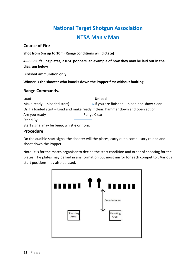# **National Target Shotgun Association NTSA Man v Man**

#### **Course of Fire**

**Shot from 6m up to 10m (Range conditions will dictate)** 

**4 - 8 IPSC falling plates, 2 IPSC poppers, an example of how they may be laid out in the diagram below** 

**Birdshot ammunition only.** 

**Winner is the shooter who knocks down the Popper first without faulting.** 

#### **Range Commands.**

| Load                                                                             | <b>Unload</b>                                            |
|----------------------------------------------------------------------------------|----------------------------------------------------------|
| Make ready (unloaded start)                                                      | $\rightarrow$ If you are finished, unload and show clear |
| Or if a loaded start – Load and make ready If clear, hammer down and open action |                                                          |
| Are you ready                                                                    | Range Clear                                              |
| Stand By                                                                         |                                                          |
| Start signal may be beep, whistle or horn.                                       |                                                          |

#### **Procedure**

On the audible start signal the shooter will the plates, carry out a compulsory reload and shoot down the Popper.

Note: it is for the match organiser to decide the start condition and order of shooting for the plates. The plates may be laid in any formation but must mirror for each competitor. Various start positions may also be used.

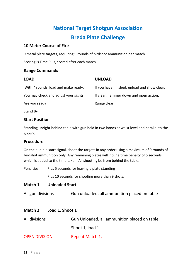## **National Target Shotgun Association Breda Plate Challenge**

#### **10 Meter Course of Fire**

9 metal plate targets, requiring 9 rounds of birdshot ammunition per match.

Scoring is Time Plus, scored after each match.

#### **Range Commands**

| <b>LOAD</b>                          | <b>UNLOAD</b>                                |
|--------------------------------------|----------------------------------------------|
| With * rounds, load and make ready.  | If you have finished, unload and show clear. |
| You may check and adjust your sights | If clear, hammer down and open action.       |
| Are you ready                        | Range clear                                  |
| Stand By                             |                                              |

#### **Start Position**

Standing upright behind table with gun held in two hands at waist level and parallel to the ground.

#### **Procedure**

On the audible start signal, shoot the targets in any order using a maximum of 9 rounds of birdshot ammunition only. Any remaining plates will incur a time penalty of 5 seconds which is added to the time taken. All shooting be from behind the table.

Penalties Plus 5 seconds for leaving a plate standing

Plus 10 seconds for shooting more than 9 shots.

#### **Match 1 Unloaded Start**

All gun divisions Gun unloaded, all ammunition placed on table

#### **Match 2 Load 1, Shoot 1**

| All divisions        | Gun Unloaded, all ammunition placed on table. |
|----------------------|-----------------------------------------------|
|                      | Shoot 1, load 1.                              |
| <b>OPEN DIVISION</b> | Repeat Match 1.                               |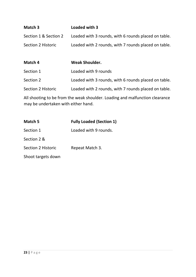| Match 3               | Loaded with 3                                        |
|-----------------------|------------------------------------------------------|
| Section 1 & Section 2 | Loaded with 3 rounds, with 6 rounds placed on table. |
| Section 2 Historic    | Loaded with 2 rounds, with 7 rounds placed on table. |

| Match 4            | <b>Weak Shoulder.</b>                                |
|--------------------|------------------------------------------------------|
| Section 1          | Loaded with 9 rounds                                 |
| Section 2          | Loaded with 3 rounds, with 6 rounds placed on table. |
| Section 2 Historic | Loaded with 2 rounds, with 7 rounds placed on table. |

All shooting to be from the weak shoulder. Loading and malfunction clearance may be undertaken with either hand.

| Match 5                   | <b>Fully Loaded (Section 1)</b> |
|---------------------------|---------------------------------|
| Section 1                 | Loaded with 9 rounds.           |
| Section 2 &               |                                 |
| <b>Section 2 Historic</b> | Repeat Match 3.                 |
| Shoot targets down        |                                 |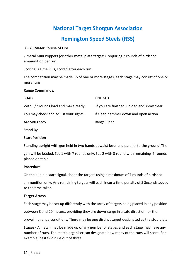## **Remington Speed Steels (RSS)**

#### **8 – 20 Meter Course of Fire**

7 metal Mini Poppers (or other metal plate targets), requiring 7 rounds of birdshot ammunition per run.

Scoring is Time Plus, scored after each run.

The competition may be made up of one or more stages, each stage may consist of one or more runs.

#### **Range Commands.**

| LOAD                                  | UNLOAD                                     |
|---------------------------------------|--------------------------------------------|
| With 3/7 rounds load and make ready.  | If you are finished, unload and show clear |
| You may check and adjust your sights. | If clear, hammer down and open action      |
| Are you ready                         | Range Clear                                |
|                                       |                                            |

Stand By

#### **Start Position**

Standing upright with gun held in two hands at waist level and parallel to the ground. The

gun will be loaded. Sec 1 with 7 rounds only, Sec 2 with 3 round with remaining 5 rounds placed on table.

#### **Procedure**

On the audible start signal, shoot the targets using a maximum of 7 rounds of birdshot

ammunition only. Any remaining targets will each incur a time penalty of 5 Seconds added to the time taken.

#### **Target Arrays**

Each stage may be set up differently with the array of targets being placed in any position

between 8 and 20 meters, providing they are down range in a safe direction for the

prevailing range conditions. There may be one distinct target designated as the stop plate.

**Stages -** A match may be made up of any number of stages and each stage may have any number of runs. The match organiser can designate how many of the runs will score. For example, best two runs out of three.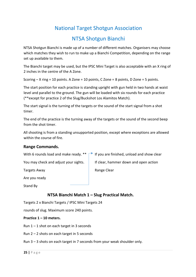### NTSA Shotgun Bianchi

NTSA Shotgun Bianchi is made up of a number of different matches. Organisers may choose which matches they wish to run to make up a Bianchi Competition, depending on the range set up available to them.

The Bianchi target may be used, but the IPSC Mini Target is also acceptable with an X ring of 2 inches in the centre of the A Zone.

Scoring – X ring = 10 points. A Zone = 10 points, C Zone = 8 points, D Zone = 5 points.

The start position for each practice is standing upright with gun held in two hands at waist level and parallel to the ground. The gun will be loaded with six rounds for each practice (\*\*except for practice 2 of the Slug/Buckshot Los Alamitos Match).

The start signal is the turning of the targets or the sound of the start signal from a shot timer.

The end of the practice is the turning away of the targets or the sound of the second beep from the shot timer.

All shooting is from a standing unsupported position, except where exceptions are allowed within the course of fire.

#### **Range Commands.**

|                                       | With 6 rounds load and make ready. $** \rightharpoonup$ If you are finished, unload and show clear |
|---------------------------------------|----------------------------------------------------------------------------------------------------|
| You may check and adjust your sights. | If clear, hammer down and open action                                                              |

Targets Away **Range Clear** Range Clear

Are you ready

Stand By

#### **NTSA Bianchi Match 1 – Slug Practical Match.**

Targets 2 x Bianchi Targets / IPSC Mini Targets 24

rounds of slug. Maximum score 240 points.

#### **Practice 1 – 10 meters.**

Run  $1 - 1$  shot on each target in 3 seconds

Run 2 – 2 shots on each target in 5 seconds

Run 3 – 3 shots on each target in 7 seconds from your weak shoulder only.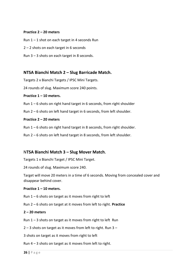#### **Practice 2 – 20 meters**

- Run  $1 1$  shot on each target in 4 seconds Run
- 2 2 shots on each target in 6 seconds
- Run 3 3 shots on each target in 8 seconds.

#### **NTSA Bianchi Match 2 – Slug Barricade Match.**

Targets 2 x Bianchi Targets / IPSC Mini Targets.

24 rounds of slug. Maximum score 240 points.

#### **Practice 1 – 10 meters.**

- Run 1 6 shots on right hand target in 6 seconds, from right shoulder
- Run 2 6 shots on left hand target in 6 seconds, from left shoulder.

#### **Practice 2 – 20 meters**

- Run  $1 6$  shots on right hand target in 8 seconds, from right shoulder.
- Run 2 6 shots on left hand target in 8 seconds, from left shoulder.

#### N**TSA Bianchi Match 3 – Slug Mover Match.**

Targets 1 x Bianchi Target / IPSC Mini Target.

24 rounds of slug. Maximum score 240.

Target will move 20 meters in a time of 6 seconds. Moving from concealed cover and disappear behind cover.

#### **Practice 1 – 10 meters.**

Run  $1 - 6$  shots on target as it moves from right to left

Run 2 – 6 shots on target at it moves from left to right. **Practice** 

#### **2 – 20 meters**

Run  $1 - 3$  shots on target as it moves from right to left Run

2 – 3 shots on target as it moves from left to right. Run 3 –

3 shots on target as it moves from right to left

Run 4 – 3 shots on target as it moves from left to right.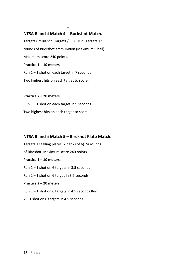#### **NTSA Bianchi Match 4 Buckshot Match.**

**–**

Targets 6 x Bianchi Targets / IPSC Mini Targets 12 rounds of Buckshot ammunition (Maximum 9 ball). Maximum score 240 points.

**Practice 1 – 10 meters.** 

Run  $1 - 1$  shot on each target in 7 seconds

Two highest hits on each target to score.

#### **Practice 2 – 20 meters**

Run  $1 - 1$  shot on each target in 9 seconds Two highest hits on each target to score.

#### **NTSA Bianchi Match 5 – Birdshot Plate Match.**

Targets 12 falling plates (2 banks of 6) 24 rounds

of Birdshot. Maximum score 240 points.

#### **Practice 1 – 10 meters.**

Run  $1 - 1$  shot on 6 targets in 3.5 seconds

Run 2 – 1 shot on 6 target in 3.5 seconds

#### **Practice 2 – 20 meters**

- Run  $1 1$  shot on 6 targets in 4.5 seconds Run
- 2 1 shot on 6 targets in 4.5 seconds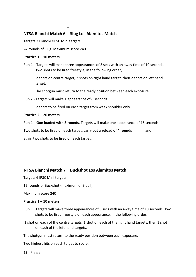#### **NTSA Bianchi Match 6 Slug Los Alamitos Match**

**–**

Targets 3 Bianchi /IPSC Mini targets

24 rounds of Slug. Maximum score 240

#### **Practice 1 – 10 meters**

Run 1 – Targets will make three appearances of 3 secs with an away time of 10 seconds. Two shots to be fired freestyle, in the following order,

 2 shots on centre target, 2 shots on right hand target, then 2 shots on left hand target.

The shotgun must return to the ready position between each exposure.

Run 2 - Targets will make 1 appearance of 8 seconds.

2 shots to be fired on each target from weak shoulder only.

#### **Practice 2 – 20 meters**

Run 1 – **Gun loaded with 8 rounds**. Targets will make one appearance of 15 seconds.

Two shots to be fired on each target, carry out a **reload of 4 rounds** and again two shots to be fired on each target.

#### **NTSA Bianchi Match 7 Buckshot Los Alamitos Match**

Targets 6 IPSC Mini targets.

12 rounds of Buckshot (maximum of 9 ball).

Maximum score 240

#### **Practice 1 – 10 meters**

- Run 1 –Targets will make three appearances of 3 secs with an away time of 10 seconds. Two shots to be fired freestyle on each appearance, in the following order.
- 1 shot on each of the centre targets, 1 shot on each of the right hand targets, then 1 shot on each of the left hand targets.

The shotgun must return to the ready position between each exposure.

Two highest hits on each target to score.